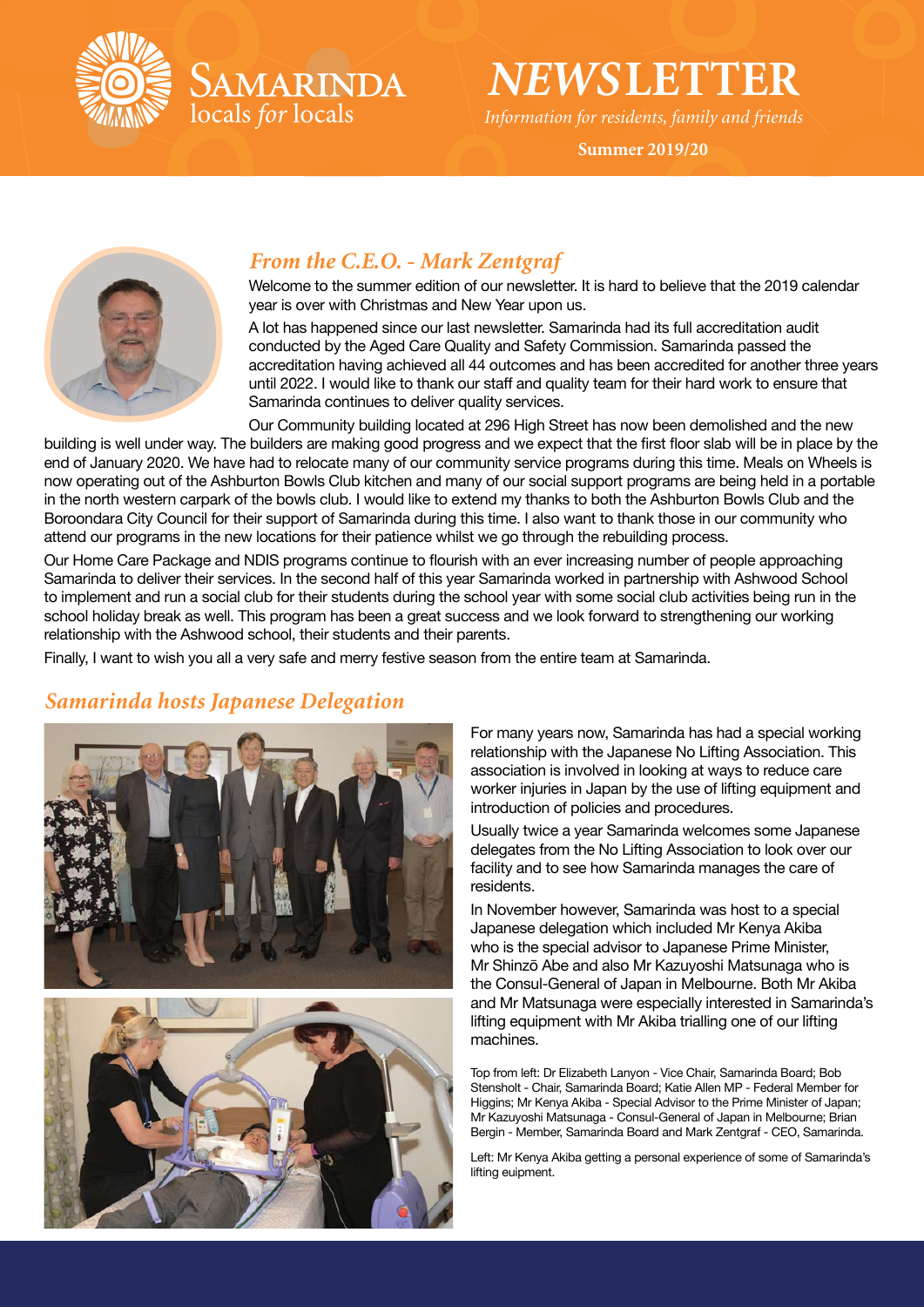

*NEWS***LETTER**

*Information for residents, family and friends*

**Summer 2019/20**



# *From the C.E.O. - Mark Zentgraf*

SAMARINDA

locals for locals

Welcome to the summer edition of our newsletter. It is hard to believe that the 2019 calendar year is over with Christmas and New Year upon us.

A lot has happened since our last newsletter. Samarinda had its full accreditation audit conducted by the Aged Care Quality and Safety Commission. Samarinda passed the accreditation having achieved all 44 outcomes and has been accredited for another three years until 2022. I would like to thank our staff and quality team for their hard work to ensure that Samarinda continues to deliver quality services.

Our Community building located at 296 High Street has now been demolished and the new building is well under way. The builders are making good progress and we expect that the first floor slab will be in place by the end of January 2020. We have had to relocate many of our community service programs during this time. Meals on Wheels is now operating out of the Ashburton Bowls Club kitchen and many of our social support programs are being held in a portable in the north western carpark of the bowls club. I would like to extend my thanks to both the Ashburton Bowls Club and the Boroondara City Council for their support of Samarinda during this time. I also want to thank those in our community who attend our programs in the new locations for their patience whilst we go through the rebuilding process.

Our Home Care Package and NDIS programs continue to flourish with an ever increasing number of people approaching Samarinda to deliver their services. In the second half of this year Samarinda worked in partnership with Ashwood School to implement and run a social club for their students during the school year with some social club activities being run in the school holiday break as well. This program has been a great success and we look forward to strengthening our working relationship with the Ashwood school, their students and their parents.

Finally, I want to wish you all a very safe and merry festive season from the entire team at Samarinda.

# *Samarinda hosts Japanese Delegation*





For many years now, Samarinda has had a special working relationship with the Japanese No Lifting Association. This association is involved in looking at ways to reduce care worker injuries in Japan by the use of lifting equipment and introduction of policies and procedures.

Usually twice a year Samarinda welcomes some Japanese delegates from the No Lifting Association to look over our facility and to see how Samarinda manages the care of residents.

In November however, Samarinda was host to a special Japanese delegation which included Mr Kenya Akiba who is the special advisor to Japanese Prime Minister. Mr Shinzō Abe and also Mr Kazuyoshi Matsunaga who is the Consul-General of Japan in Melbourne. Both Mr Akiba and Mr Matsunaga were especially interested in Samarinda's lifting equipment with Mr Akiba trialling one of our lifting machines.

Top from left: Dr Elizabeth Lanyon - Vice Chair, Samarinda Board; Bob Stensholt - Chair, Samarinda Board; Katie Allen MP - Federal Member for Higgins; Mr Kenya Akiba - Special Advisor to the Prime Minister of Japan; Mr Kazuyoshi Matsunaga - Consul-General of Japan in Melbourne; Brian Bergin - Member, Samarinda Board and Mark Zentgraf - CEO, Samarinda.

Left: Mr Kenya Akiba getting a personal experience of some of Samarinda's lifting euipment.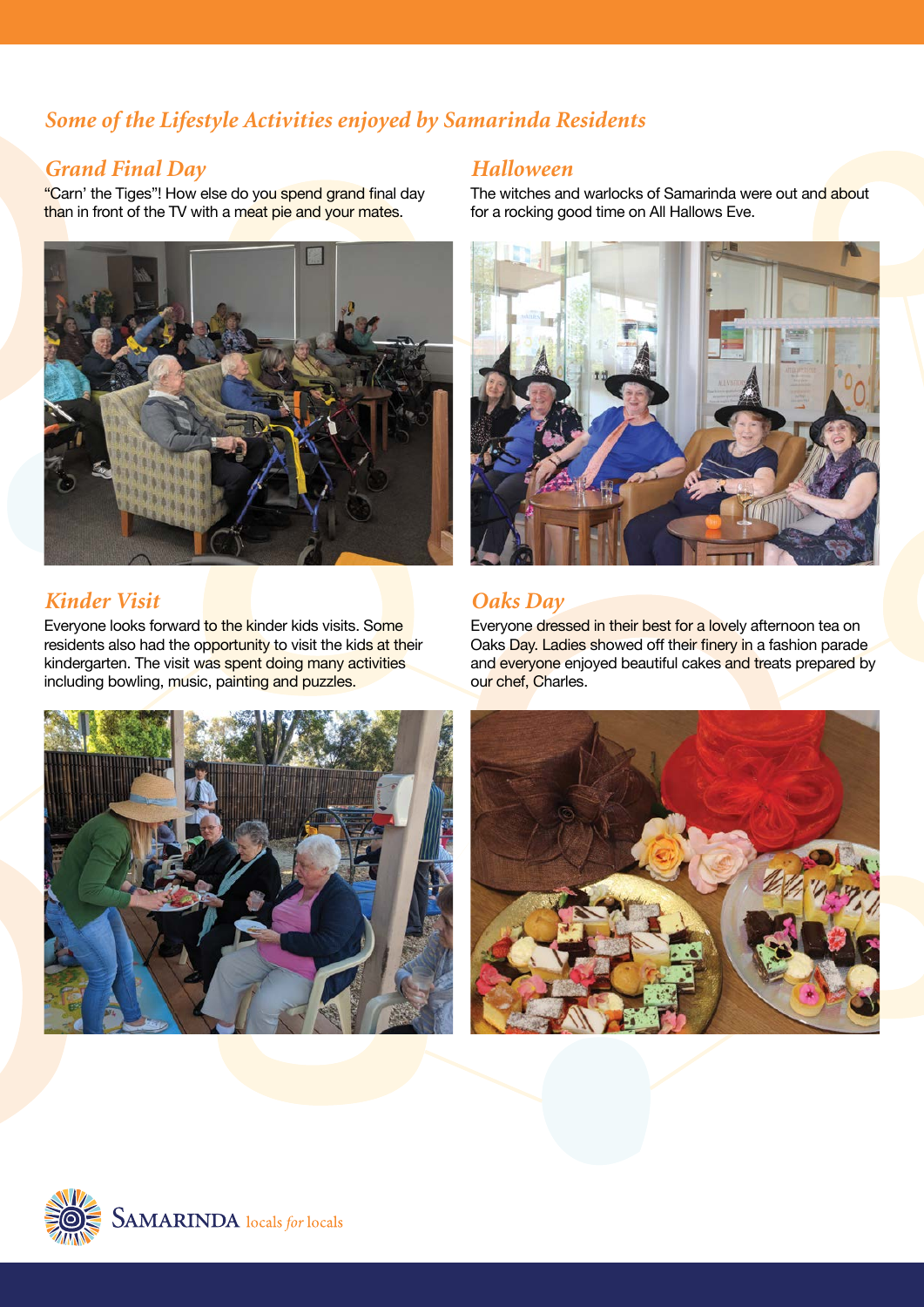# *Some of the Lifestyle Activities enjoyed by Samarinda Residents*

### *Grand Final Day*

"Carn' the Tiges"! How else do you spend grand final day than in front of the TV with a meat pie and your mates.



# *Kinder Visit*

Everyone looks forward to the kinder kids visits. Some residents also had the opportunity to visit the kids at their kindergarten. The visit was spent doing many activities including bowling, music, painting and puzzles.



#### *Halloween*

The witches and warlocks of Samarinda were out and about for a rocking good time on All Hallows Eve.



# *Oaks Day*

Everyone dressed in their best for a lovely afternoon tea on Oaks Day. Ladies showed off their finery in a fashion parade and everyone enjoyed beautiful cakes and treats prepared by our chef, Charles.



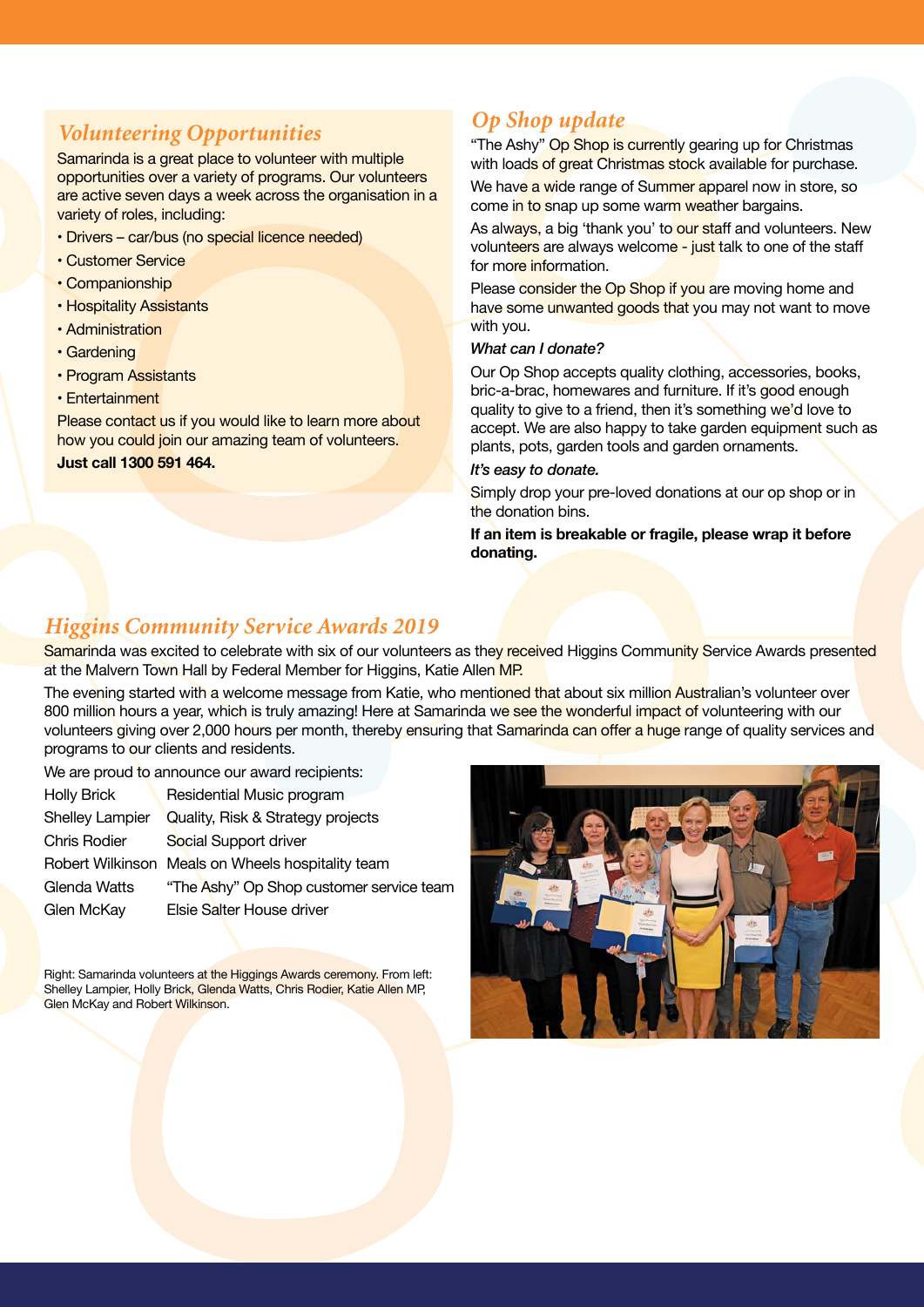# *Volunteering Opportunities*

Samarinda is a great place to volunteer with multiple opportunities over a variety of programs. Our volunteers are active seven days a week across the organisation in a variety of roles, including:

- Drivers car/bus (no special licence needed)
- Customer Service
- Companionship
- Hospitality Assistants
- Administration
- Gardening
- Program Assistants
- Entertainment

Please contact us if you would like to learn more about how you could join our amazing team of volunteers. **Just call 1300 591 464.**

# *Op Shop update*

"The Ashy" Op Shop is currently gearing up for Christmas with loads of great Christmas stock available for purchase.

We have a wide range of Summer apparel now in store, so come in to snap up some warm weather bargains.

As always, a big 'thank you' to our staff and volunteers. New volunteers are always welcome - just talk to one of the staff for more information.

Please consider the Op Shop if you are moving home and have some unwanted goods that you may not want to move with you.

#### *What can I donate?*

Our Op Shop accepts quality clothing, accessories, books, bric-a-brac, homewares and furniture. If it's good enough quality to give to a friend, then it's something we'd love to accept. We are also happy to take garden equipment such as plants, pots, garden tools and garden ornaments.

#### *It's easy to donate.*

Simply drop your pre-loved donations at our op shop or in the donation bins.

**If an item is breakable or fragile, please wrap it before donating.**

### *Higgins Community Service Awards 2019*

Samarinda was excited to celebrate with six of our volunteers as they received Higgins Community Service Awards presented at the Malvern Town Hall by Federal Member for Higgins, Katie Allen MP.

The evening started with a welcome message from Katie, who mentioned that about six million Australian's volunteer over 800 million hours a year, which is truly amazing! Here at Samarinda we see the wonderful impact of volunteering with our volunteers giving over 2,000 hours per month, thereby ensuring that Samarinda can offer a huge range of quality services and programs to our clients and residents.

We are proud to announce our award recipients:

| <b>Holly Brick</b>     | Residential Music program                         |
|------------------------|---------------------------------------------------|
| <b>Shelley Lampier</b> | Quality, Risk & Strategy projects                 |
| <b>Chris Rodier</b>    | Social Support driver                             |
|                        | Robert Wilkinson Meals on Wheels hospitality team |
| Glenda Watts           | "The Ashy" Op Shop customer service team          |
| Glen McKay             | Elsie Salter House driver                         |

Right: Samarinda volunteers at the Higgings Awards ceremony. From left: Shelley Lampier, Holly Brick, Glenda Watts, Chris Rodier, Katie Allen MP, Glen McKay and Robert Wilkinson.